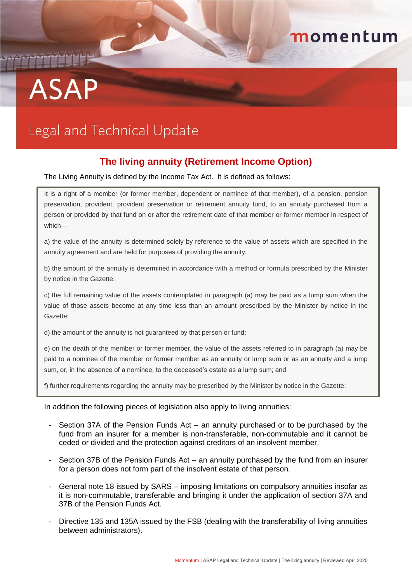## momentum

# THEFT **ASAP**

## Legal and Technical Update

### **The living annuity (Retirement Income Option)**

The Living Annuity is defined by the Income Tax Act. It is defined as follows:

It is a right of a member (or former member, dependent or nominee of that member), of a pension, pension preservation, provident, provident preservation or retirement annuity fund, to an annuity purchased from a person or provided by that fund on or after the retirement date of that member or former member in respect of which—

a) the value of the annuity is determined solely by reference to the value of assets which are specified in the annuity agreement and are held for purposes of providing the annuity;

b) the amount of the annuity is determined in accordance with a method or formula prescribed by the Minister by notice in the Gazette;

c) the full remaining value of the assets contemplated in paragraph (a) may be paid as a lump sum when the value of those assets become at any time less than an amount prescribed by the Minister by notice in the Gazette;

d) the amount of the annuity is not guaranteed by that person or fund;

e) on the death of the member or former member, the value of the assets referred to in paragraph (a) may be paid to a nominee of the member or former member as an annuity or lump sum or as an annuity and a lump sum, or, in the absence of a nominee, to the deceased's estate as a lump sum; and

f) further requirements regarding the annuity may be prescribed by the Minister by notice in the Gazette;

#### In addition the following pieces of legislation also apply to living annuities:

- Section 37A of the Pension Funds Act an annuity purchased or to be purchased by the fund from an insurer for a member is non-transferable, non-commutable and it cannot be ceded or divided and the protection against creditors of an insolvent member.
- Section 37B of the Pension Funds Act an annuity purchased by the fund from an insurer for a person does not form part of the insolvent estate of that person.
- General note 18 issued by SARS imposing limitations on compulsory annuities insofar as it is non-commutable, transferable and bringing it under the application of section 37A and 37B of the Pension Funds Act.
- Directive 135 and 135A issued by the FSB (dealing with the transferability of living annuities between administrators).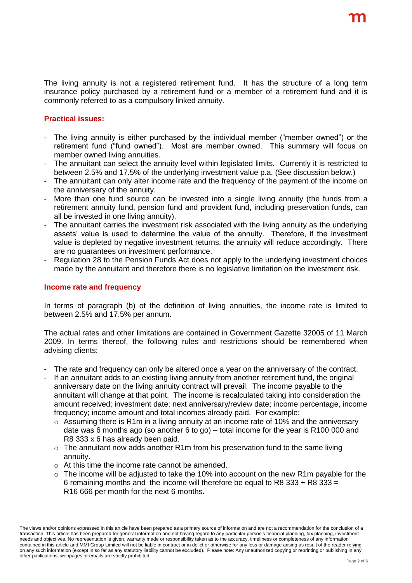The living annuity is not a registered retirement fund. It has the structure of a long term insurance policy purchased by a retirement fund or a member of a retirement fund and it is commonly referred to as a compulsory linked annuity.

#### **Practical issues:**

- The living annuity is either purchased by the individual member ("member owned") or the retirement fund ("fund owned"). Most are member owned. This summary will focus on member owned living annuities.
- The annuitant can select the annuity level within legislated limits. Currently it is restricted to between 2.5% and 17.5% of the underlying investment value p.a. (See discussion below.)
- The annuitant can only alter income rate and the frequency of the payment of the income on the anniversary of the annuity.
- More than one fund source can be invested into a single living annuity (the funds from a retirement annuity fund, pension fund and provident fund, including preservation funds, can all be invested in one living annuity).
- The annuitant carries the investment risk associated with the living annuity as the underlying assets' value is used to determine the value of the annuity. Therefore, if the investment value is depleted by negative investment returns, the annuity will reduce accordingly. There are no guarantees on investment performance.
- Regulation 28 to the Pension Funds Act does not apply to the underlying investment choices made by the annuitant and therefore there is no legislative limitation on the investment risk.

#### **Income rate and frequency**

In terms of paragraph (b) of the definition of living annuities, the income rate is limited to between 2.5% and 17.5% per annum.

The actual rates and other limitations are contained in Government Gazette 32005 of 11 March 2009. In terms thereof, the following rules and restrictions should be remembered when advising clients:

- The rate and frequency can only be altered once a year on the anniversary of the contract.
- If an annuitant adds to an existing living annuity from another retirement fund, the original anniversary date on the living annuity contract will prevail. The income payable to the annuitant will change at that point. The income is recalculated taking into consideration the amount received; investment date; next anniversary/review date; income percentage, income frequency; income amount and total incomes already paid. For example:
	- $\circ$  Assuming there is R1m in a living annuity at an income rate of 10% and the anniversary date was 6 months ago (so another 6 to go) – total income for the year is R100 000 and R8 333 x 6 has already been paid.
	- o The annuitant now adds another R1m from his preservation fund to the same living annuity.
	- o At this time the income rate cannot be amended.
	- $\circ$  The income will be adjusted to take the 10% into account on the new R1m payable for the 6 remaining months and the income will therefore be equal to R8  $333 + R8 333 =$ R16 666 per month for the next 6 months.

The views and/or opinions expressed in this article have been prepared as a primary source of information and are not a recommendation for the conclusion of a transaction. This article has been prepared for general information and not having regard to any particular person's financial planning, tax planning, investment needs and objectives. No representation is given, warranty made or responsibility taken as to the accuracy, timeliness or completeness of any information contained in this article and MMI Group Limited will not be liable in contract or in delict or otherwise for any loss or damage arising as result of the reader relying on any such information (except in so far as any statutory liability cannot be excluded). Please note: Any unauthorized copying or reprinting or publishing in any other publications, webpages or emails are strictly prohibited.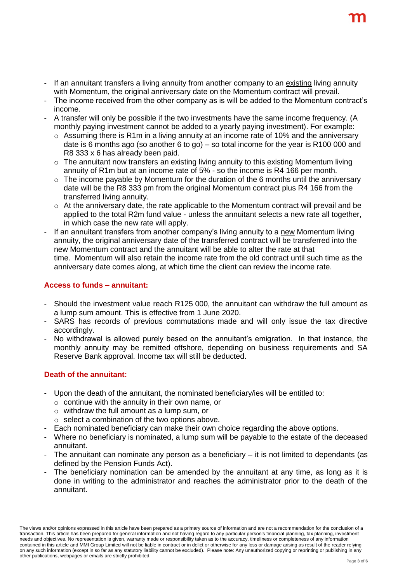- If an annuitant transfers a living annuity from another company to an existing living annuity with Momentum, the original anniversary date on the Momentum contract will prevail.
- The income received from the other company as is will be added to the Momentum contract's income.
- A transfer will only be possible if the two investments have the same income frequency. (A monthly paying investment cannot be added to a yearly paying investment). For example:
	- o Assuming there is R1m in a living annuity at an income rate of 10% and the anniversary date is 6 months ago (so another 6 to go) – so total income for the year is R100 000 and R8 333 x 6 has already been paid.
	- o The annuitant now transfers an existing living annuity to this existing Momentum living annuity of R1m but at an income rate of 5% - so the income is R4 166 per month.
	- $\circ$  The income payable by Momentum for the duration of the 6 months until the anniversary date will be the R8 333 pm from the original Momentum contract plus R4 166 from the transferred living annuity.
	- $\circ$  At the anniversary date, the rate applicable to the Momentum contract will prevail and be applied to the total R2m fund value - unless the annuitant selects a new rate all together, in which case the new rate will apply.
- If an annuitant transfers from another company's living annuity to a new Momentum living annuity, the original anniversary date of the transferred contract will be transferred into the new Momentum contract and the annuitant will be able to alter the rate at that time. Momentum will also retain the income rate from the old contract until such time as the anniversary date comes along, at which time the client can review the income rate.

#### **Access to funds – annuitant:**

- Should the investment value reach R125 000, the annuitant can withdraw the full amount as a lump sum amount. This is effective from 1 June 2020.
- SARS has records of previous commutations made and will only issue the tax directive accordingly.
- No withdrawal is allowed purely based on the annuitant's emigration. In that instance, the monthly annuity may be remitted offshore, depending on business requirements and SA Reserve Bank approval. Income tax will still be deducted.

#### **Death of the annuitant:**

- Upon the death of the annuitant, the nominated beneficiary/ies will be entitled to:
	- $\circ$  continue with the annuity in their own name, or
	- o withdraw the full amount as a lump sum, or
	- $\circ$  select a combination of the two options above.
- Each nominated beneficiary can make their own choice regarding the above options.
- Where no beneficiary is nominated, a lump sum will be payable to the estate of the deceased annuitant.
- The annuitant can nominate any person as a beneficiary it is not limited to dependants (as defined by the Pension Funds Act).
- The beneficiary nomination can be amended by the annuitant at any time, as long as it is done in writing to the administrator and reaches the administrator prior to the death of the annuitant.

The views and/or opinions expressed in this article have been prepared as a primary source of information and are not a recommendation for the conclusion of a transaction. This article has been prepared for general information and not having regard to any particular person's financial planning, tax planning, investment needs and objectives. No representation is given, warranty made or responsibility taken as to the accuracy, timeliness or completeness of any information contained in this article and MMI Group Limited will not be liable in contract or in delict or otherwise for any loss or damage arising as result of the reader relying on any such information (except in so far as any statutory liability cannot be excluded). Please note: Any unauthorized copying or reprinting or publishing in any other publications, webpages or emails are strictly prohibited.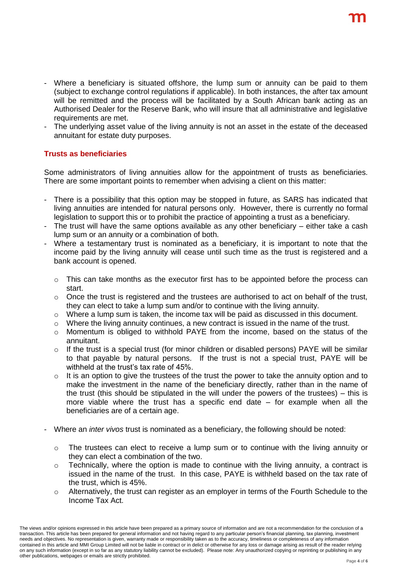- Where a beneficiary is situated offshore, the lump sum or annuity can be paid to them (subject to exchange control regulations if applicable). In both instances, the after tax amount will be remitted and the process will be facilitated by a South African bank acting as an Authorised Dealer for the Reserve Bank, who will insure that all administrative and legislative requirements are met.
- The underlying asset value of the living annuity is not an asset in the estate of the deceased annuitant for estate duty purposes.

#### **Trusts as beneficiaries**

Some administrators of living annuities allow for the appointment of trusts as beneficiaries. There are some important points to remember when advising a client on this matter:

- There is a possibility that this option may be stopped in future, as SARS has indicated that living annuities are intended for natural persons only. However, there is currently no formal legislation to support this or to prohibit the practice of appointing a trust as a beneficiary.
- The trust will have the same options available as any other beneficiary  $-$  either take a cash lump sum or an annuity or a combination of both.
- Where a testamentary trust is nominated as a beneficiary, it is important to note that the income paid by the living annuity will cease until such time as the trust is registered and a bank account is opened.
	- $\circ$  This can take months as the executor first has to be appointed before the process can start.
	- $\circ$  Once the trust is registered and the trustees are authorised to act on behalf of the trust, they can elect to take a lump sum and/or to continue with the living annuity.
	- $\circ$  Where a lump sum is taken, the income tax will be paid as discussed in this document.
	- $\circ$  Where the living annuity continues, a new contract is issued in the name of the trust.
	- $\circ$  Momentum is obliged to withhold PAYE from the income, based on the status of the annuitant.
	- $\circ$  If the trust is a special trust (for minor children or disabled persons) PAYE will be similar to that payable by natural persons. If the trust is not a special trust, PAYE will be withheld at the trust's tax rate of 45%.
	- $\circ$  It is an option to give the trustees of the trust the power to take the annuity option and to make the investment in the name of the beneficiary directly, rather than in the name of the trust (this should be stipulated in the will under the powers of the trustees) – this is more viable where the trust has a specific end date – for example when all the beneficiaries are of a certain age.
- Where an *inter vivos* trust is nominated as a beneficiary, the following should be noted:
	- $\circ$  The trustees can elect to receive a lump sum or to continue with the living annuity or they can elect a combination of the two.
	- o Technically, where the option is made to continue with the living annuity, a contract is issued in the name of the trust. In this case, PAYE is withheld based on the tax rate of the trust, which is 45%.
	- $\circ$  Alternatively, the trust can register as an employer in terms of the Fourth Schedule to the Income Tax Act.

The views and/or opinions expressed in this article have been prepared as a primary source of information and are not a recommendation for the conclusion of a transaction. This article has been prepared for general information and not having regard to any particular person's financial planning, tax planning, investment needs and objectives. No representation is given, warranty made or responsibility taken as to the accuracy, timeliness or completeness of any information contained in this article and MMI Group Limited will not be liable in contract or in delict or otherwise for any loss or damage arising as result of the reader relying on any such information (except in so far as any statutory liability cannot be excluded). Please note: Any unauthorized copying or reprinting or publishing in any other publications, webpages or emails are strictly prohibited.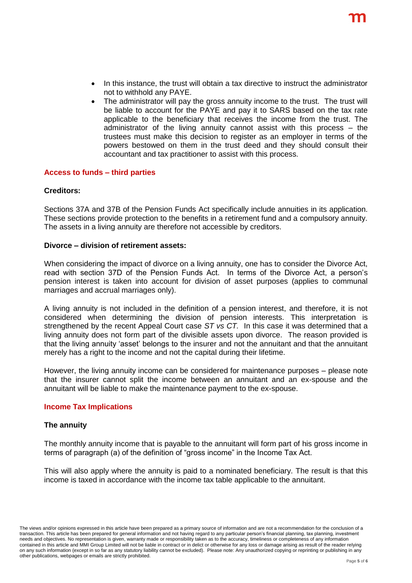- In this instance, the trust will obtain a tax directive to instruct the administrator not to withhold any PAYE.
- The administrator will pay the gross annuity income to the trust. The trust will be liable to account for the PAYE and pay it to SARS based on the tax rate applicable to the beneficiary that receives the income from the trust. The administrator of the living annuity cannot assist with this process – the trustees must make this decision to register as an employer in terms of the powers bestowed on them in the trust deed and they should consult their accountant and tax practitioner to assist with this process.

#### **Access to funds – third parties**

#### **Creditors:**

Sections 37A and 37B of the Pension Funds Act specifically include annuities in its application. These sections provide protection to the benefits in a retirement fund and a compulsory annuity. The assets in a living annuity are therefore not accessible by creditors.

#### **Divorce – division of retirement assets:**

When considering the impact of divorce on a living annuity, one has to consider the Divorce Act, read with section 37D of the Pension Funds Act. In terms of the Divorce Act, a person's pension interest is taken into account for division of asset purposes (applies to communal marriages and accrual marriages only).

A living annuity is not included in the definition of a pension interest, and therefore, it is not considered when determining the division of pension interests. This interpretation is strengthened by the recent Appeal Court case *ST vs CT.* In this case it was determined that a living annuity does not form part of the divisible assets upon divorce. The reason provided is that the living annuity 'asset' belongs to the insurer and not the annuitant and that the annuitant merely has a right to the income and not the capital during their lifetime.

However, the living annuity income can be considered for maintenance purposes – please note that the insurer cannot split the income between an annuitant and an ex-spouse and the annuitant will be liable to make the maintenance payment to the ex-spouse.

#### **Income Tax Implications**

#### **The annuity**

The monthly annuity income that is payable to the annuitant will form part of his gross income in terms of paragraph (a) of the definition of "gross income" in the Income Tax Act.

This will also apply where the annuity is paid to a nominated beneficiary. The result is that this income is taxed in accordance with the income tax table applicable to the annuitant.

The views and/or opinions expressed in this article have been prepared as a primary source of information and are not a recommendation for the conclusion of a transaction. This article has been prepared for general information and not having regard to any particular person's financial planning, tax planning, investment needs and objectives. No representation is given, warranty made or responsibility taken as to the accuracy, timeliness or completeness of any information contained in this article and MMI Group Limited will not be liable in contract or in delict or otherwise for any loss or damage arising as result of the reader relying on any such information (except in so far as any statutory liability cannot be excluded). Please note: Any unauthorized copying or reprinting or publishing in any other publications, webpages or emails are strictly prohibited.